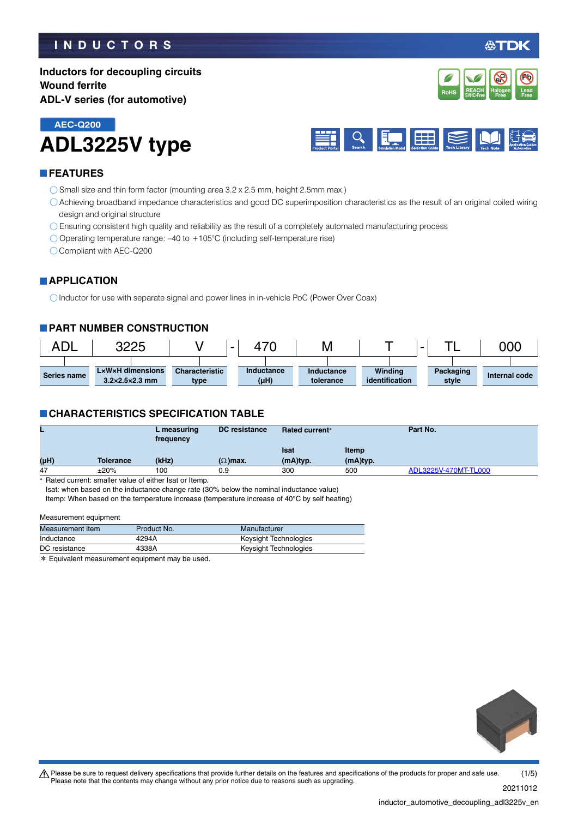# **INDUCTORS**

# **Inductors for decoupling circuits Wound ferrite ADL-V series (for automotive)**



**ADL3225V type AEC-Q200**



### **FEATURES**

- $\bigcirc$  Small size and thin form factor (mounting area 3.2 x 2.5 mm, height 2.5mm max.)
- Achieving broadband impedance characteristics and good DC superimposition characteristics as the result of an original coiled wiring design and original structure
- Ensuring consistent high quality and reliability as the result of a completely automated manufacturing process
- Operating temperature range: –40 to +105°C (including self-temperature rise)

Compliant with AEC-Q200

#### **APPLICATION**

O Inductor for use with separate signal and power lines in in-vehicle PoC (Power Over Coax)

#### **PART NUMBER CONSTRUCTION**



#### **CHARACTERISTICS SPECIFICATION TABLE**

|      |           | L measuring<br>frequency | <b>DC</b> resistance | <b>Rated current*</b> |          | Part No.             |
|------|-----------|--------------------------|----------------------|-----------------------|----------|----------------------|
|      |           |                          |                      | Isat                  | Itemp    |                      |
| (µH) | Tolerance | (kHz)                    | $(\Omega)$ max.      | (mA)typ.              | (mA)typ. |                      |
| 47   | ±20%      | 100                      | 0.9                  | 300                   | 500      | ADL3225V-470MT-TL000 |

\* Rated current: smaller value of either Isat or Itemp.

Isat: when based on the inductance change rate (30% below the nominal inductance value) Itemp: When based on the temperature increase (temperature increase of 40°C by self heating)

#### Measurement equipment

| Measurement item | Product No. | Manufacturer          |
|------------------|-------------|-----------------------|
| Inductance       | 4294A       | Keysight Technologies |
| DC resistance    | 4338A       | Keysight Technologies |
|                  |             |                       |

\* Equivalent measurement equipment may be used.

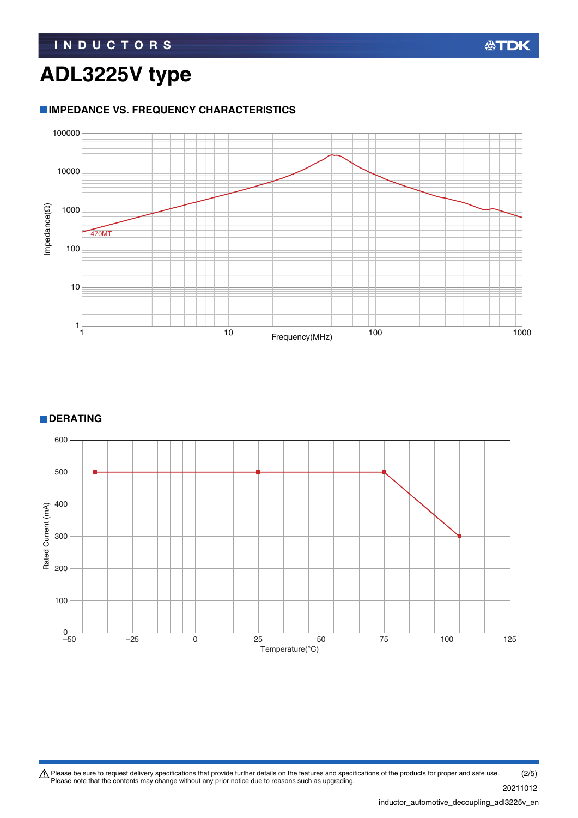# **ADL3225V type**

# **IMPEDANCE VS. FREQUENCY CHARACTERISTICS**



**DERATING** 



Please be sure to request delivery specifications that provide further details on the features and specifications of the products for proper and safe use.<br>Please note that the contents may change without any prior notice d (2/5)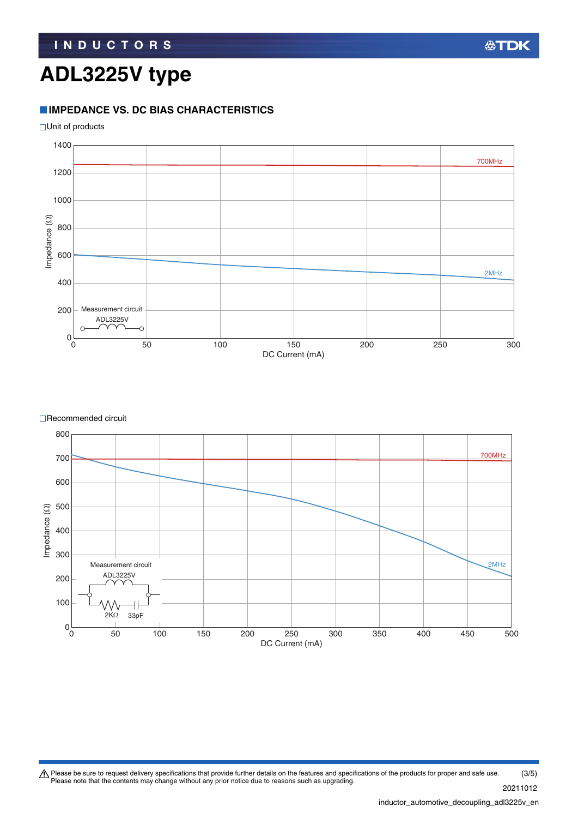# **ADL3225V type**

# **IMPEDANCE VS. DC BIAS CHARACTERISTICS**



![](_page_2_Figure_4.jpeg)

**□Recommended circuit** 

![](_page_2_Figure_6.jpeg)

Please be sure to request delivery specifications that provide further details on the features and specifications of the products for proper and safe use.<br>Please note that the contents may change without any prior notice d 20211012 (3/5)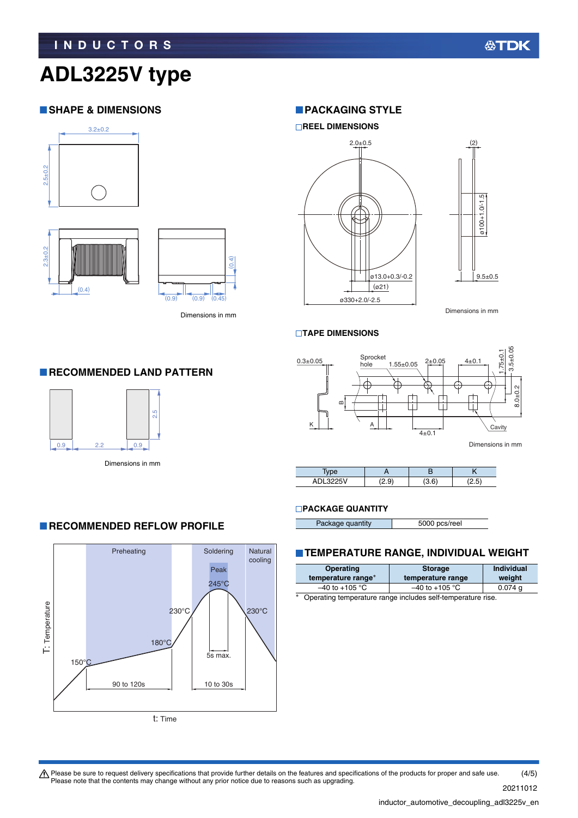# **ADL3225V type**

### **SHAPE & DIMENSIONS**

![](_page_3_Figure_4.jpeg)

 $(0.4)$ 

![](_page_3_Figure_5.jpeg)

Dimensions in mm

#### **PACKAGING STYLE**

![](_page_3_Figure_8.jpeg)

Dimensions in mm

#### **TAPE DIMENSIONS**

![](_page_3_Figure_11.jpeg)

| $S = S \cap T$<br>. | u | . . | - - - |
|---------------------|---|-----|-------|

#### **PACKAGE QUANTITY**

| Package quantity | 5000 pcs/reel |
|------------------|---------------|

#### **TEMPERATURE RANGE, INDIVIDUAL WEIGHT**

| Operating          | <b>Storage</b>     | <b>Individual</b> |
|--------------------|--------------------|-------------------|
| temperature range* | temperature range  | weight            |
| $-40$ to $+105$ °C | $-40$ to $+105$ °C | $0.074$ q         |

Operating temperature range includes self-temperature rise.

### **RECOMMENDED LAND PATTERN**

![](_page_3_Picture_19.jpeg)

**RECOMMENDED REFLOW PROFILE** 

![](_page_3_Figure_21.jpeg)

Please be sure to request delivery specifications that provide further details on the features and specifications of the products for proper and safe use.<br>Please note that the contents may change without any prior notice d (4/5)

20211012